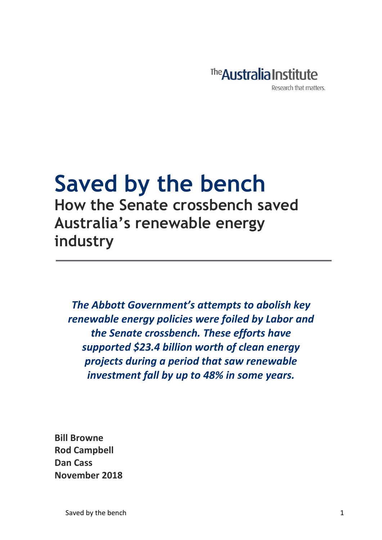

## **Saved by the bench How the Senate crossbench saved Australia's renewable energy industry**

*The Abbott Government's attempts to abolish key renewable energy policies were foiled by Labor and the Senate crossbench. These efforts have supported \$23.4 billion worth of clean energy projects during a period that saw renewable investment fall by up to 48% in some years.* 

**Bill Browne Rod Campbell Dan Cass November 2018**

Saved by the bench 1 and 1 and 1 and 1 and 1 and 1 and 1 and 1 and 1 and 1 and 1 and 1 and 1 and 1 and 1 and 1 and 1 and 1 and 1 and 1 and 1 and 1 and 1 and 1 and 1 and 1 and 1 and 1 and 1 and 1 and 1 and 1 and 1 and 1 and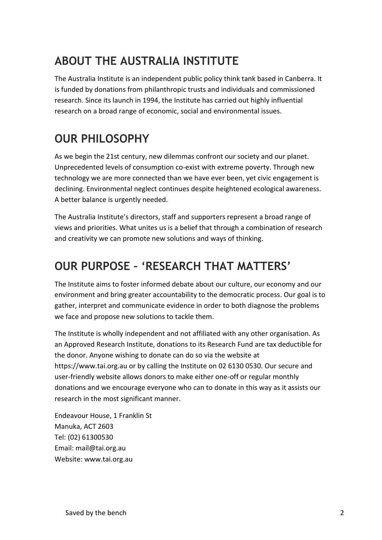## **ABOUT THE AUSTRALIA INSTITUTE**

The Australia Institute is an independent public policy think tank based in Canberra. It is funded by donations from philanthropic trusts and individuals and commissioned research. Since its launch in 1994, the Institute has carried out highly influential research on a broad range of economic, social and environmental issues.

## **OUR PHILOSOPHY**

As we begin the 21st century, new dilemmas confront our society and our planet. Unprecedented levels of consumption co-exist with extreme poverty. Through new technology we are more connected than we have ever been, yet civic engagement is declining. Environmental neglect continues despite heightened ecological awareness. A better balance is urgently needed.

The Australia Institute's directors, staff and supporters represent a broad range of views and priorities. What unites us is a belief that through a combination of research and creativity we can promote new solutions and ways of thinking.

## **OUR PURPOSE – 'RESEARCH THAT MATTERS'**

The Institute aims to foster informed debate about our culture, our economy and our environment and bring greater accountability to the democratic process. Our goal is to gather, interpret and communicate evidence in order to both diagnose the problems we face and propose new solutions to tackle them.

The Institute is wholly independent and not affiliated with any other organisation. As an Approved Research Institute, donations to its Research Fund are tax deductible for the donor. Anyone wishing to donate can do so via the website at https://www.tai.org.au or by calling the Institute on 02 6130 0530. Our secure and user-friendly website allows donors to make either one-off or regular monthly donations and we encourage everyone who can to donate in this way as it assists our research in the most significant manner.

Endeavour House, 1 Franklin St Manuka, ACT 2603 Tel: (02) 61300530 Email: mail@tai.org.au Website: www.tai.org.au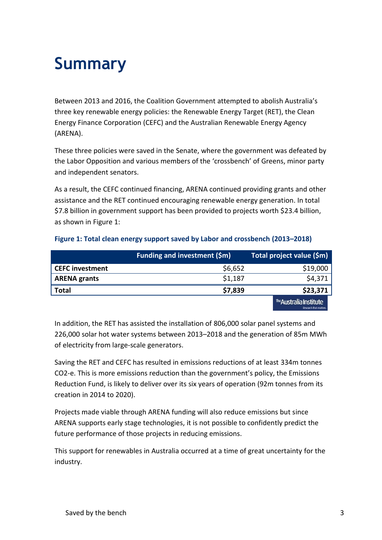## **Summary**

Between 2013 and 2016, the Coalition Government attempted to abolish Australia's three key renewable energy policies: the Renewable Energy Target (RET), the Clean Energy Finance Corporation (CEFC) and the Australian Renewable Energy Agency (ARENA).

These three policies were saved in the Senate, where the government was defeated by the Labor Opposition and various members of the 'crossbench' of Greens, minor party and independent senators.

As a result, the CEFC continued financing, ARENA continued providing grants and other assistance and the RET continued encouraging renewable energy generation. In total \$7.8 billion in government support has been provided to projects worth \$23.4 billion, as shown in Figure 1:

|                        | <b>Funding and investment (\$m)</b> | Total project value (\$m)                         |
|------------------------|-------------------------------------|---------------------------------------------------|
| <b>CEFC investment</b> | \$6,652                             | \$19,000                                          |
| <b>ARENA grants</b>    | \$1,187                             | \$4,371                                           |
| <b>Total</b>           | \$7,839                             | \$23,371                                          |
|                        |                                     | The Australia Institute<br>Research that matters. |

### **Figure 1: Total clean energy support saved by Labor and crossbench (2013–2018)**

In addition, the RET has assisted the installation of 806,000 solar panel systems and 226,000 solar hot water systems between 2013–2018 and the generation of 85m MWh of electricity from large-scale generators.

Saving the RET and CEFC has resulted in emissions reductions of at least 334m tonnes CO2-e. This is more emissions reduction than the government's policy, the Emissions Reduction Fund, is likely to deliver over its six years of operation (92m tonnes from its creation in 2014 to 2020).

Projects made viable through ARENA funding will also reduce emissions but since ARENA supports early stage technologies, it is not possible to confidently predict the future performance of those projects in reducing emissions.

This support for renewables in Australia occurred at a time of great uncertainty for the industry.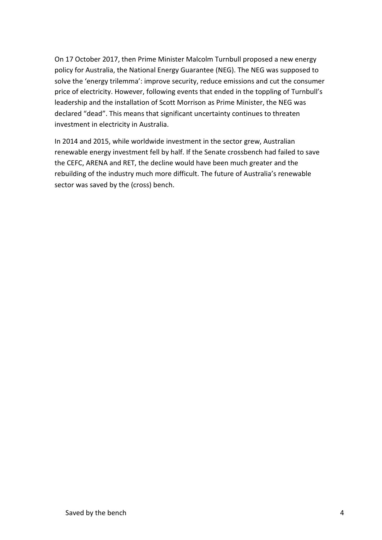On 17 October 2017, then Prime Minister Malcolm Turnbull proposed a new energy policy for Australia, the National Energy Guarantee (NEG). The NEG was supposed to solve the 'energy trilemma': improve security, reduce emissions and cut the consumer price of electricity. However, following events that ended in the toppling of Turnbull's leadership and the installation of Scott Morrison as Prime Minister, the NEG was declared "dead". This means that significant uncertainty continues to threaten investment in electricity in Australia.

In 2014 and 2015, while worldwide investment in the sector grew, Australian renewable energy investment fell by half. If the Senate crossbench had failed to save the CEFC, ARENA and RET, the decline would have been much greater and the rebuilding of the industry much more difficult. The future of Australia's renewable sector was saved by the (cross) bench.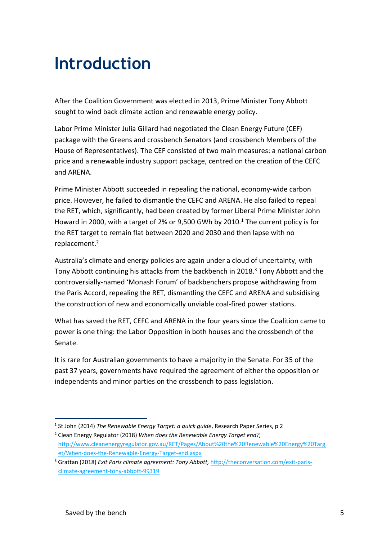## **Introduction**

After the Coalition Government was elected in 2013, Prime Minister Tony Abbott sought to wind back climate action and renewable energy policy.

Labor Prime Minister Julia Gillard had negotiated the Clean Energy Future (CEF) package with the Greens and crossbench Senators (and crossbench Members of the House of Representatives). The CEF consisted of two main measures: a national carbon price and a renewable industry support package, centred on the creation of the CEFC and ARENA.

Prime Minister Abbott succeeded in repealing the national, economy-wide carbon price. However, he failed to dismantle the CEFC and ARENA. He also failed to repeal the RET, which, significantly, had been created by former Liberal Prime Minister John Howard in 2000, with a target of 2% or 9,500 GWh by 2010.<sup>1</sup> The current policy is for the RET target to remain flat between 2020 and 2030 and then lapse with no replacement. 2

Australia's climate and energy policies are again under a cloud of uncertainty, with Tony Abbott continuing his attacks from the backbench in 2018.<sup>3</sup> Tony Abbott and the controversially-named 'Monash Forum' of backbenchers propose withdrawing from the Paris Accord, repealing the RET, dismantling the CEFC and ARENA and subsidising the construction of new and economically unviable coal-fired power stations.

What has saved the RET, CEFC and ARENA in the four years since the Coalition came to power is one thing: the Labor Opposition in both houses and the crossbench of the Senate.

It is rare for Australian governments to have a majority in the Senate. For 35 of the past 37 years, governments have required the agreement of either the opposition or independents and minor parties on the crossbench to pass legislation.

<sup>&</sup>lt;sup>1</sup> St John (2014) *The Renewable Energy Target: a quick guide*, Research Paper Series, p 2

<sup>2</sup> Clean Energy Regulator (2018) *When does the Renewable Energy Target end?,*  [http://www.cleanenergyregulator.gov.au/RET/Pages/About%20the%20Renewable%20Energy%20Targ](http://www.cleanenergyregulator.gov.au/RET/Pages/About%20the%20Renewable%20Energy%20Target/When-does-the-Renewable-Energy-Target-end.aspx) [et/When-does-the-Renewable-Energy-Target-end.aspx](http://www.cleanenergyregulator.gov.au/RET/Pages/About%20the%20Renewable%20Energy%20Target/When-does-the-Renewable-Energy-Target-end.aspx)

<sup>3</sup> Grattan (2018) *Exit Paris climate agreement: Tony Abbott,* [http://theconversation.com/exit-paris](http://theconversation.com/exit-paris-climate-agreement-tony-abbott-99319)[climate-agreement-tony-abbott-99319](http://theconversation.com/exit-paris-climate-agreement-tony-abbott-99319)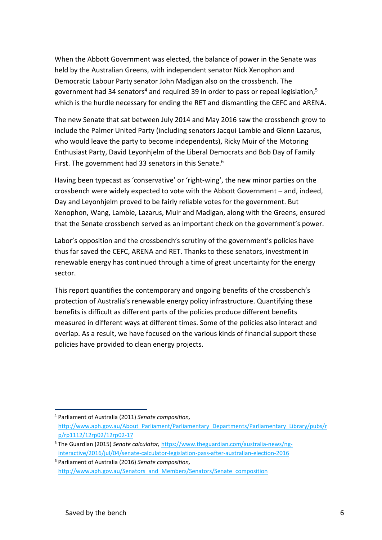When the Abbott Government was elected, the balance of power in the Senate was held by the Australian Greens, with independent senator Nick Xenophon and Democratic Labour Party senator John Madigan also on the crossbench. The government had 34 senators<sup>4</sup> and required 39 in order to pass or repeal legislation,<sup>5</sup> which is the hurdle necessary for ending the RET and dismantling the CEFC and ARENA.

The new Senate that sat between July 2014 and May 2016 saw the crossbench grow to include the Palmer United Party (including senators Jacqui Lambie and Glenn Lazarus, who would leave the party to become independents), Ricky Muir of the Motoring Enthusiast Party, David Leyonhjelm of the Liberal Democrats and Bob Day of Family First. The government had 33 senators in this Senate.<sup>6</sup>

Having been typecast as 'conservative' or 'right-wing', the new minor parties on the crossbench were widely expected to vote with the Abbott Government – and, indeed, Day and Leyonhjelm proved to be fairly reliable votes for the government. But Xenophon, Wang, Lambie, Lazarus, Muir and Madigan, along with the Greens, ensured that the Senate crossbench served as an important check on the government's power.

Labor's opposition and the crossbench's scrutiny of the government's policies have thus far saved the CEFC, ARENA and RET. Thanks to these senators, investment in renewable energy has continued through a time of great uncertainty for the energy sector.

This report quantifies the contemporary and ongoing benefits of the crossbench's protection of Australia's renewable energy policy infrastructure. Quantifying these benefits is difficult as different parts of the policies produce different benefits measured in different ways at different times. Some of the policies also interact and overlap. As a result, we have focused on the various kinds of financial support these policies have provided to clean energy projects.

<sup>4</sup> Parliament of Australia (2011) *Senate composition,*  [http://www.aph.gov.au/About\\_Parliament/Parliamentary\\_Departments/Parliamentary\\_Library/pubs/r](http://www.aph.gov.au/About_Parliament/Parliamentary_Departments/Parliamentary_Library/pubs/rp/rp1112/12rp02/12rp02-17) [p/rp1112/12rp02/12rp02-17](http://www.aph.gov.au/About_Parliament/Parliamentary_Departments/Parliamentary_Library/pubs/rp/rp1112/12rp02/12rp02-17)

<sup>5</sup> The Guardian (2015) *Senate calculator,* [https://www.theguardian.com/australia-news/ng](https://www.theguardian.com/australia-news/ng-interactive/2016/jul/04/senate-calculator-legislation-pass-after-australian-election-2016)[interactive/2016/jul/04/senate-calculator-legislation-pass-after-australian-election-2016](https://www.theguardian.com/australia-news/ng-interactive/2016/jul/04/senate-calculator-legislation-pass-after-australian-election-2016)

<sup>6</sup> Parliament of Australia (2016) *Senate composition,*  [http://www.aph.gov.au/Senators\\_and\\_Members/Senators/Senate\\_composition](http://www.aph.gov.au/Senators_and_Members/Senators/Senate_composition)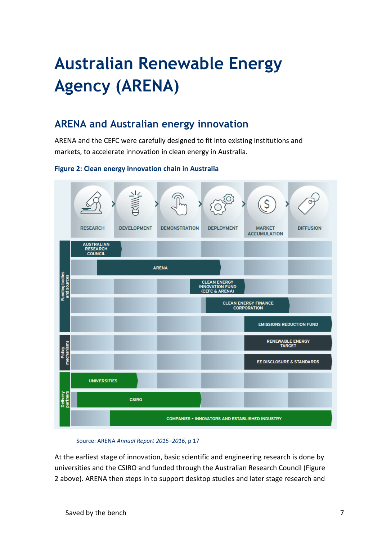# **Australian Renewable Energy Agency (ARENA)**

### **ARENA and Australian energy innovation**

ARENA and the CEFC were carefully designed to fit into existing institutions and markets, to accelerate innovation in clean energy in Australia.

### **Figure 2: Clean energy innovation chain in Australia**



#### Source: ARENA *Annual Report 2015–2016*, p 17

At the earliest stage of innovation, basic scientific and engineering research is done by universities and the CSIRO and funded through the Australian Research Council (Figure 2 above). ARENA then steps in to support desktop studies and later stage research and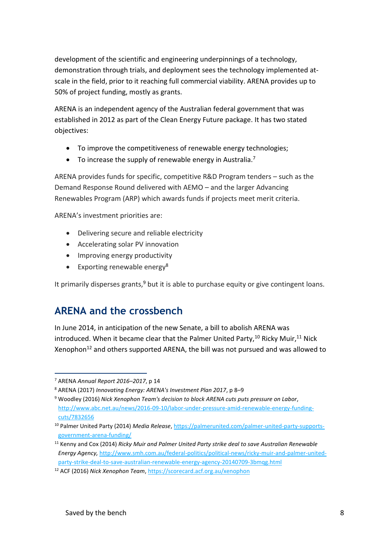development of the scientific and engineering underpinnings of a technology, demonstration through trials, and deployment sees the technology implemented atscale in the field, prior to it reaching full commercial viability. ARENA provides up to 50% of project funding, mostly as grants.

ARENA is an independent agency of the Australian federal government that was established in 2012 as part of the Clean Energy Future package. It has two stated objectives:

- To improve the competitiveness of renewable energy technologies;
- $\bullet$  To increase the supply of renewable energy in Australia.<sup>7</sup>

ARENA provides funds for specific, competitive R&D Program tenders – such as the Demand Response Round delivered with AEMO – and the larger Advancing Renewables Program (ARP) which awards funds if projects meet merit criteria.

ARENA's investment priorities are:

- Delivering secure and reliable electricity
- Accelerating solar PV innovation
- Improving energy productivity
- $\bullet$  Exporting renewable energy<sup>8</sup>

It primarily disperses grants, $9$  but it is able to purchase equity or give contingent loans.

## **ARENA and the crossbench**

In June 2014, in anticipation of the new Senate, a bill to abolish ARENA was introduced. When it became clear that the Palmer United Party,  $10$  Ricky Muir,  $11$  Nick Xenophon<sup>12</sup> and others supported ARENA, the bill was not pursued and was allowed to

<sup>7</sup> ARENA *Annual Report 2016–2017*, p 14

<sup>8</sup> ARENA (2017) *Innovating Energy: ARENA's Investment Plan 2017*, p 8*–*9

<sup>9</sup> Woodley (2016) *Nick Xenophon Team's decision to block ARENA cuts puts pressure on Labor*, [http://www.abc.net.au/news/2016-09-10/labor-under-pressure-amid-renewable-energy-funding](http://www.abc.net.au/news/2016-09-10/labor-under-pressure-amid-renewable-energy-funding-cuts/7832656)[cuts/7832656](http://www.abc.net.au/news/2016-09-10/labor-under-pressure-amid-renewable-energy-funding-cuts/7832656)

<sup>10</sup> Palmer United Party (2014) *Media Release*, [https://palmerunited.com/palmer-united-party-supports](https://palmerunited.com/palmer-united-party-supports-government-arena-funding/)[government-arena-funding/](https://palmerunited.com/palmer-united-party-supports-government-arena-funding/)

<sup>11</sup> Kenny and Cox (2014) *Ricky Muir and Palmer United Party strike deal to save Australian Renewable Energy Agency,* [http://www.smh.com.au/federal-politics/political-news/ricky-muir-and-palmer-united](http://www.smh.com.au/federal-politics/political-news/ricky-muir-and-palmer-united-party-strike-deal-to-save-australian-renewable-energy-agency-20140709-3bmqg.html)[party-strike-deal-to-save-australian-renewable-energy-agency-20140709-3bmqg.html](http://www.smh.com.au/federal-politics/political-news/ricky-muir-and-palmer-united-party-strike-deal-to-save-australian-renewable-energy-agency-20140709-3bmqg.html)

<sup>12</sup> ACF (2016) *Nick Xenophon Team*[, https://scorecard.acf.org.au/xenophon](https://scorecard.acf.org.au/xenophon)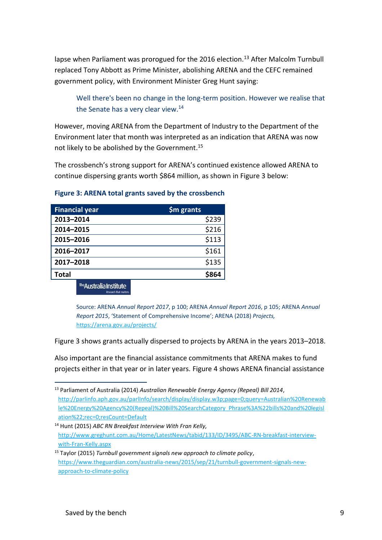lapse when Parliament was prorogued for the 2016 election.<sup>13</sup> After Malcolm Turnbull replaced Tony Abbott as Prime Minister, abolishing ARENA and the CEFC remained government policy, with Environment Minister Greg Hunt saying:

Well there's been no change in the long-term position. However we realise that the Senate has a very clear view.<sup>14</sup>

However, moving ARENA from the Department of Industry to the Department of the Environment later that month was interpreted as an indication that ARENA was now not likely to be abolished by the Government. 15

The crossbench's strong support for ARENA's continued existence allowed ARENA to continue dispersing grants worth \$864 million, as shown in Figure 3 below:

| <b>Financial year</b> | \$m grants |
|-----------------------|------------|
| 2013-2014             | \$239      |
| 2014-2015             | \$216      |
| 2015-2016             | \$113      |
| 2016-2017             | \$161      |
| 2017-2018             | \$135      |
| Total                 | 982        |

### **Figure 3: ARENA total grants saved by the crossbench**

The Australia Institute

Source: ARENA *Annual Report 2017*, p 100; ARENA *Annual Report 2016*, p 105; ARENA *Annual Report 2015*, 'Statement of Comprehensive Income'; ARENA (2018) *Projects,*  <https://arena.gov.au/projects/>

Figure 3 shows grants actually dispersed to projects by ARENA in the years 2013–2018.

Also important are the financial assistance commitments that ARENA makes to fund projects either in that year or in later years. Figure 4 shows ARENA financial assistance

<sup>13</sup> Parliament of Australia (2014) *Australian Renewable Energy Agency (Repeal) Bill 2014*, [http://parlinfo.aph.gov.au/parlInfo/search/display/display.w3p;page=0;query=Australian%20Renewab](http://parlinfo.aph.gov.au/parlInfo/search/display/display.w3p;page=0;query=Australian%20Renewable%20Energy%20Agency%20(Repeal)%20Bill%20SearchCategory_Phrase%3A%22bills%20and%20legislation%22;rec=0;resCount=Default) [le%20Energy%20Agency%20\(Repeal\)%20Bill%20SearchCategory\\_Phrase%3A%22bills%20and%20legisl](http://parlinfo.aph.gov.au/parlInfo/search/display/display.w3p;page=0;query=Australian%20Renewable%20Energy%20Agency%20(Repeal)%20Bill%20SearchCategory_Phrase%3A%22bills%20and%20legislation%22;rec=0;resCount=Default) [ation%22;rec=0;resCount=Default](http://parlinfo.aph.gov.au/parlInfo/search/display/display.w3p;page=0;query=Australian%20Renewable%20Energy%20Agency%20(Repeal)%20Bill%20SearchCategory_Phrase%3A%22bills%20and%20legislation%22;rec=0;resCount=Default) 

<sup>14</sup> Hunt (2015) *ABC RN Breakfast Interview With Fran Kelly,* [http://www.greghunt.com.au/Home/LatestNews/tabid/133/ID/3495/ABC-RN-breakfast-interview](http://www.greghunt.com.au/Home/LatestNews/tabid/133/ID/3495/ABC-RN-breakfast-interview-with-Fran-Kelly.aspx)[with-Fran-Kelly.aspx](http://www.greghunt.com.au/Home/LatestNews/tabid/133/ID/3495/ABC-RN-breakfast-interview-with-Fran-Kelly.aspx)

<sup>15</sup> Taylor (2015) *Turnbull government signals new approach to climate policy*, [https://www.theguardian.com/australia-news/2015/sep/21/turnbull-government-signals-new](https://www.theguardian.com/australia-news/2015/sep/21/turnbull-government-signals-new-approach-to-climate-policy)[approach-to-climate-policy](https://www.theguardian.com/australia-news/2015/sep/21/turnbull-government-signals-new-approach-to-climate-policy)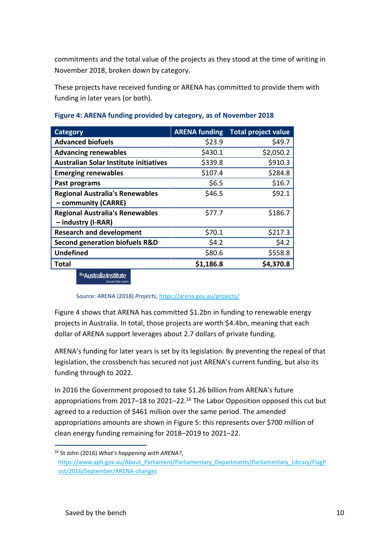commitments and the total value of the projects as they stood at the time of writing in November 2018, broken down by category.

These projects have received funding or ARENA has committed to provide them with funding in later years (or both).

| <b>Category</b>                           | <b>ARENA funding</b> | Total project value |
|-------------------------------------------|----------------------|---------------------|
| <b>Advanced biofuels</b>                  | \$23.9               | \$49.7              |
| <b>Advancing renewables</b>               | \$430.1              | \$2,050.2           |
| Australian Solar Institute initiatives    | \$339.8              | \$910.3             |
| <b>Emerging renewables</b>                | \$107.4              | \$284.8             |
| Past programs                             | \$6.5                | \$16.7              |
| <b>Regional Australia's Renewables</b>    | \$46.5               | \$92.1              |
| - community (CARRE)                       |                      |                     |
| <b>Regional Australia's Renewables</b>    | \$77.7               | \$186.7             |
| - industry (I-RAR)                        |                      |                     |
| <b>Research and development</b>           | \$70.1               | \$217.3             |
| <b>Second generation biofuels R&amp;D</b> | \$4.2                | \$4.2               |
| <b>Undefined</b>                          | \$80.6               | \$558.8             |
| <b>Total</b>                              | \$1,186.8            | \$4,370.8           |

### **Figure 4: ARENA funding provided by category, as of November 2018**

**Australia Institute** 

### Source: ARENA (2018) *Projects,* <https://arena.gov.au/projects/>

Figure 4 shows that ARENA has committed \$1.2bn in funding to renewable energy projects in Australia. In total, those projects are worth \$4.4bn, meaning that each dollar of ARENA support leverages about 2.7 dollars of private funding.

ARENA's funding for later years is set by its legislation. By preventing the repeal of that legislation, the crossbench has secured not just ARENA's current funding, but also its funding through to 2022.

In 2016 the Government proposed to take \$1.26 billion from ARENA's future appropriations from 2017–18 to 2021–22.<sup>16</sup> The Labor Opposition opposed this cut but agreed to a reduction of \$461 million over the same period. The amended appropriations amounts are shown in Figure 5: this represents over \$700 million of clean energy funding remaining for 2018–2019 to 2021–22.

<sup>16</sup> St John (2016) *What's happening with ARENA?*,

[https://www.aph.gov.au/About\\_Parliament/Parliamentary\\_Departments/Parliamentary\\_Library/FlagP](https://www.aph.gov.au/About_Parliament/Parliamentary_Departments/Parliamentary_Library/FlagPost/2016/September/ARENA-changes) [ost/2016/September/ARENA-changes](https://www.aph.gov.au/About_Parliament/Parliamentary_Departments/Parliamentary_Library/FlagPost/2016/September/ARENA-changes)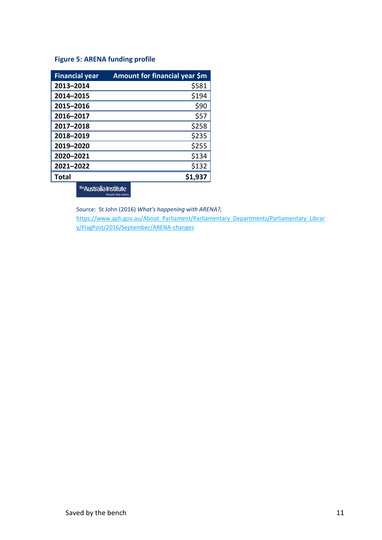### **Figure 5: ARENA funding profile**

| <b>Financial year</b> | Amount for financial year \$m |
|-----------------------|-------------------------------|
| 2013-2014             | \$581                         |
| 2014-2015             | \$194                         |
| 2015-2016             | \$90                          |
| 2016-2017             | \$57                          |
| 2017-2018             | \$258                         |
| 2018-2019             | \$235                         |
| 2019-2020             | \$255                         |
| 2020-2021             | \$134                         |
| 2021-2022             | \$132                         |
| Total                 |                               |

The Australia Institute Research that m

Source: St John (2016) *What's happening with ARENA?,* [https://www.aph.gov.au/About\\_Parliament/Parliamentary\\_Departments/Parliamentary\\_Librar](https://www.aph.gov.au/About_Parliament/Parliamentary_Departments/Parliamentary_Library/FlagPost/2016/September/ARENA-changes) [y/FlagPost/2016/September/ARENA-changes](https://www.aph.gov.au/About_Parliament/Parliamentary_Departments/Parliamentary_Library/FlagPost/2016/September/ARENA-changes)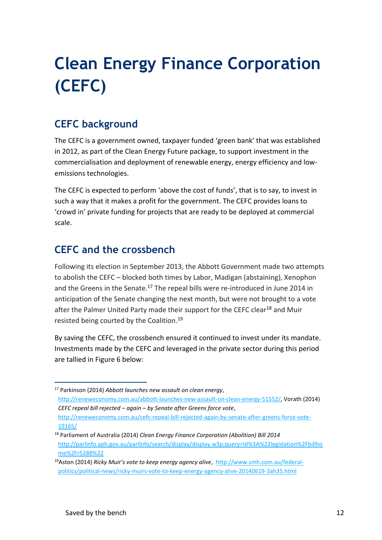# **Clean Energy Finance Corporation (CEFC)**

## **CEFC background**

The CEFC is a government owned, taxpayer funded 'green bank' that was established in 2012, as part of the Clean Energy Future package, to support investment in the commercialisation and deployment of renewable energy, energy efficiency and lowemissions technologies.

The CEFC is expected to perform 'above the cost of funds', that is to say, to invest in such a way that it makes a profit for the government. The CEFC provides loans to 'crowd in' private funding for projects that are ready to be deployed at commercial scale.

## **CEFC and the crossbench**

Following its election in September 2013, the Abbott Government made two attempts to abolish the CEFC – blocked both times by Labor, Madigan (abstaining), Xenophon and the Greens in the Senate.<sup>17</sup> The repeal bills were re-introduced in June 2014 in anticipation of the Senate changing the next month, but were not brought to a vote after the Palmer United Party made their support for the CEFC clear<sup>18</sup> and Muir resisted being courted by the Coalition.<sup>19</sup>

By saving the CEFC, the crossbench ensured it continued to invest under its mandate. Investments made by the CEFC and leveraged in the private sector during this period are tallied in Figure 6 below:

<sup>17</sup> Parkinson (2014) *Abbott launches new assault on clean energy*, [http://reneweconomy.com.au/abbott-launches-new-assault-on-clean-energy-51552/,](http://reneweconomy.com.au/abbott-launches-new-assault-on-clean-energy-51552/) Vorath (2014) *CEFC repeal bill rejected – again – by Senate after Greens force vote*, [http://reneweconomy.com.au/cefc-repeal-bill-rejected-again-by-senate-after-greens-force-vote-](http://reneweconomy.com.au/cefc-repeal-bill-rejected-again-by-senate-after-greens-force-vote-19165/)[19165/](http://reneweconomy.com.au/cefc-repeal-bill-rejected-again-by-senate-after-greens-force-vote-19165/)

<sup>18</sup> Parliament of Australia (2014) *Clean Energy Finance Corporation (Abolition) Bill 2014* [http://parlinfo.aph.gov.au/parlInfo/search/display/display.w3p;query=Id%3A%22legislation%2Fbillho](http://parlinfo.aph.gov.au/parlInfo/search/display/display.w3p;query=Id%3A%22legislation%2Fbillhome%2Fr5288%22) [me%2Fr5288%22](http://parlinfo.aph.gov.au/parlInfo/search/display/display.w3p;query=Id%3A%22legislation%2Fbillhome%2Fr5288%22)

<sup>19</sup>Aston (2014) *Ricky Muir's vote to keep energy agency alive*, [http://www.smh.com.au/federal](http://www.smh.com.au/federal-politics/political-news/ricky-muirs-vote-to-keep-energy-agency-alive-20140619-3ah35.html)[politics/political-news/ricky-muirs-vote-to-keep-energy-agency-alive-20140619-3ah35.html](http://www.smh.com.au/federal-politics/political-news/ricky-muirs-vote-to-keep-energy-agency-alive-20140619-3ah35.html)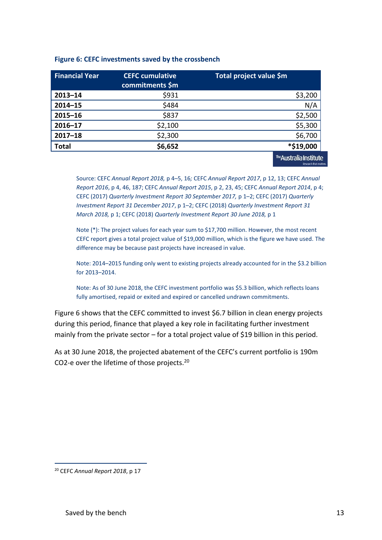| <b>Financial Year</b> | <b>CEFC cumulative</b><br>commitments \$m | Total project value \$m |
|-----------------------|-------------------------------------------|-------------------------|
| $2013 - 14$           | \$931                                     | \$3,200                 |
| $2014 - 15$           | \$484                                     | N/A                     |
| $2015 - 16$           | \$837                                     | \$2,500                 |
| $2016 - 17$           | \$2,100                                   | \$5,300                 |
| $2017 - 18$           | \$2,300                                   | \$6,700                 |
| <b>Total</b>          | \$6,652                                   | *\$19,000               |
|                       |                                           | The Australia Institute |

#### **Figure 6: CEFC investments saved by the crossbench**

Source: CEFC *Annual Report 2018,* p 4–5, 16*;* CEFC *Annual Report 2017*, p 12, 13; CEFC *Annual Report 2016*, p 4, 46, 187; CEFC *Annual Report 2015*, p 2, 23, 45; CEFC *Annual Report 2014*, p 4; CEFC (2017) *Quarterly Investment Report 30 September 2017,* p 1–2; CEFC (2017) *Quarterly Investment Report 31 December 2017*, p 1–2; CEFC (2018) *Quarterly Investment Report 31 March 2018,* p 1; CEFC (2018) *Quarterly Investment Report 30 June 2018,* p 1

Note (\*): The project values for each year sum to \$17,700 million. However, the most recent CEFC report gives a total project value of \$19,000 million, which is the figure we have used. The difference may be because past projects have increased in value.

Note: 2014–2015 funding only went to existing projects already accounted for in the \$3.2 billion for 2013–2014.

Note: As of 30 June 2018, the CEFC investment portfolio was \$5.3 billion, which reflects loans fully amortised, repaid or exited and expired or cancelled undrawn commitments.

Figure 6 shows that the CEFC committed to invest \$6.7 billion in clean energy projects during this period, finance that played a key role in facilitating further investment mainly from the private sector – for a total project value of \$19 billion in this period.

As at 30 June 2018, the projected abatement of the CEFC's current portfolio is 190m CO2-e over the lifetime of those projects.<sup>20</sup>

<sup>20</sup> CEFC *Annual Report 2018*, p 17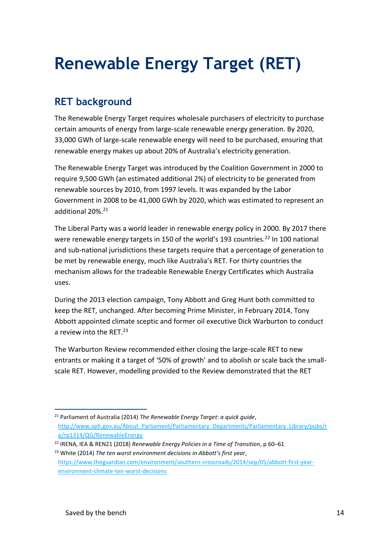## **Renewable Energy Target (RET)**

## **RET background**

The Renewable Energy Target requires wholesale purchasers of electricity to purchase certain amounts of energy from large-scale renewable energy generation. By 2020, 33,000 GWh of large-scale renewable energy will need to be purchased, ensuring that renewable energy makes up about 20% of Australia's electricity generation.

The Renewable Energy Target was introduced by the Coalition Government in 2000 to require 9,500 GWh (an estimated additional 2%) of electricity to be generated from renewable sources by 2010, from 1997 levels. It was expanded by the Labor Government in 2008 to be 41,000 GWh by 2020, which was estimated to represent an additional 20%.<sup>21</sup>

The Liberal Party was a world leader in renewable energy policy in 2000. By 2017 there were renewable energy targets in 150 of the world's 193 countries.<sup>22</sup> In 100 national and sub-national jurisdictions these targets require that a percentage of generation to be met by renewable energy, much like Australia's RET. For thirty countries the mechanism allows for the tradeable Renewable Energy Certificates which Australia uses.

During the 2013 election campaign, Tony Abbott and Greg Hunt both committed to keep the RET, unchanged. After becoming Prime Minister, in February 2014, Tony Abbott appointed climate sceptic and former oil executive Dick Warburton to conduct a review into the RET.<sup>23</sup>

The Warburton Review recommended either closing the large-scale RET to new entrants or making it a target of '50% of growth' and to abolish or scale back the smallscale RET. However, modelling provided to the Review demonstrated that the RET

<sup>1</sup> <sup>21</sup> Parliament of Australia (2014) *The Renewable Energy Target: a quick guide*, [http://www.aph.gov.au/About\\_Parliament/Parliamentary\\_Departments/Parliamentary\\_Library/pubs/r](http://www.aph.gov.au/About_Parliament/Parliamentary_Departments/Parliamentary_Library/pubs/rp/rp1314/QG/RenewableEnergy) [p/rp1314/QG/RenewableEnergy](http://www.aph.gov.au/About_Parliament/Parliamentary_Departments/Parliamentary_Library/pubs/rp/rp1314/QG/RenewableEnergy)

<sup>22</sup> IRENA, IEA & REN21 (2018) *Renewable Energy Policies in a Time of Transition*, p 60*–*61 <sup>23</sup> White (2014) *The ten worst environment decisions in Abbott's first year*, [https://www.theguardian.com/environment/southern-crossroads/2014/sep/05/abbott-first-year-](https://www.theguardian.com/environment/southern-crossroads/2014/sep/05/abbott-first-year-environment-climate-ten-worst-decisions)

[environment-climate-ten-worst-decisions](https://www.theguardian.com/environment/southern-crossroads/2014/sep/05/abbott-first-year-environment-climate-ten-worst-decisions)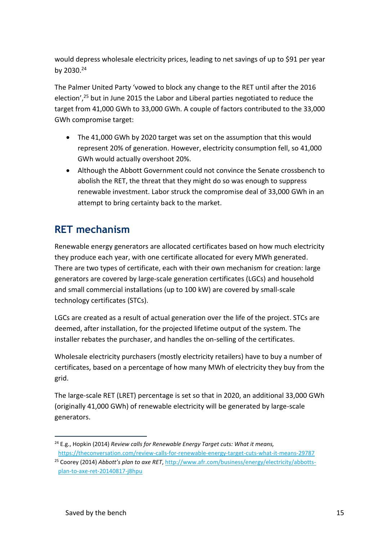would depress wholesale electricity prices, leading to net savings of up to \$91 per year by 2030.<sup>24</sup>

The Palmer United Party 'vowed to block any change to the RET until after the 2016 election',<sup>25</sup> but in June 2015 the Labor and Liberal parties negotiated to reduce the target from 41,000 GWh to 33,000 GWh. A couple of factors contributed to the 33,000 GWh compromise target:

- The 41,000 GWh by 2020 target was set on the assumption that this would represent 20% of generation. However, electricity consumption fell, so 41,000 GWh would actually overshoot 20%.
- Although the Abbott Government could not convince the Senate crossbench to abolish the RET, the threat that they might do so was enough to suppress renewable investment. Labor struck the compromise deal of 33,000 GWh in an attempt to bring certainty back to the market.

## **RET mechanism**

Renewable energy generators are allocated certificates based on how much electricity they produce each year, with one certificate allocated for every MWh generated. There are two types of certificate, each with their own mechanism for creation: large generators are covered by large-scale generation certificates (LGCs) and household and small commercial installations (up to 100 kW) are covered by small-scale technology certificates (STCs).

LGCs are created as a result of actual generation over the life of the project. STCs are deemed, after installation, for the projected lifetime output of the system. The installer rebates the purchaser, and handles the on-selling of the certificates.

Wholesale electricity purchasers (mostly electricity retailers) have to buy a number of certificates, based on a percentage of how many MWh of electricity they buy from the grid.

The large-scale RET (LRET) percentage is set so that in 2020, an additional 33,000 GWh (originally 41,000 GWh) of renewable electricity will be generated by large-scale generators.

<sup>1</sup> <sup>24</sup> E.g., Hopkin (2014) *Review calls for Renewable Energy Target cuts: What it means,* <https://theconversation.com/review-calls-for-renewable-energy-target-cuts-what-it-means-29787>

<sup>25</sup> Coorey (2014) *Abbott's plan to axe RET*[, http://www.afr.com/business/energy/electricity/abbotts](http://www.afr.com/business/energy/electricity/abbotts-plan-to-axe-ret-20140817-j8hpu)[plan-to-axe-ret-20140817-j8hpu](http://www.afr.com/business/energy/electricity/abbotts-plan-to-axe-ret-20140817-j8hpu)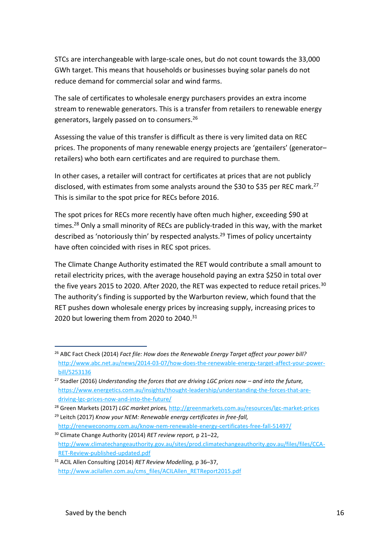STCs are interchangeable with large-scale ones, but do not count towards the 33,000 GWh target. This means that households or businesses buying solar panels do not reduce demand for commercial solar and wind farms.

The sale of certificates to wholesale energy purchasers provides an extra income stream to renewable generators. This is a transfer from retailers to renewable energy generators, largely passed on to consumers. 26

Assessing the value of this transfer is difficult as there is very limited data on REC prices. The proponents of many renewable energy projects are 'gentailers' (generator– retailers) who both earn certificates and are required to purchase them.

In other cases, a retailer will contract for certificates at prices that are not publicly disclosed, with estimates from some analysts around the \$30 to \$35 per REC mark.<sup>27</sup> This is similar to the spot price for RECs before 2016.

The spot prices for RECs more recently have often much higher, exceeding \$90 at times.<sup>28</sup> Only a small minority of RECs are publicly-traded in this way, with the market described as 'notoriously thin' by respected analysts.<sup>29</sup> Times of policy uncertainty have often coincided with rises in REC spot prices.

The Climate Change Authority estimated the RET would contribute a small amount to retail electricity prices, with the average household paying an extra \$250 in total over the five years 2015 to 2020. After 2020, the RET was expected to reduce retail prices.<sup>30</sup> The authority's finding is supported by the Warburton review, which found that the RET pushes down wholesale energy prices by increasing supply, increasing prices to 2020 but lowering them from 2020 to 2040.<sup>31</sup>

<sup>26</sup> ABC Fact Check (2014) *Fact file: How does the Renewable Energy Target affect your power bill?*  [http://www.abc.net.au/news/2014-03-07/how-does-the-renewable-energy-target-affect-your-power](http://www.abc.net.au/news/2014-03-07/how-does-the-renewable-energy-target-affect-your-power-bill/5253136)[bill/5253136](http://www.abc.net.au/news/2014-03-07/how-does-the-renewable-energy-target-affect-your-power-bill/5253136)

<sup>&</sup>lt;sup>27</sup> Stadler (2016) *Understanding the forces that are driving LGC prices now – and into the future,* [https://www.energetics.com.au/insights/thought-leadership/understanding-the-forces-that-are](https://www.energetics.com.au/insights/thought-leadership/understanding-the-forces-that-are-driving-lgc-prices-now-and-into-the-future/)[driving-lgc-prices-now-and-into-the-future/](https://www.energetics.com.au/insights/thought-leadership/understanding-the-forces-that-are-driving-lgc-prices-now-and-into-the-future/)

<sup>28</sup> Green Markets (2017) *LGC market prices,* <http://greenmarkets.com.au/resources/lgc-market-prices>

<sup>29</sup> Leitch (2017) *Know your NEM: Renewable energy certificates in free-fall,*  <http://reneweconomy.com.au/know-nem-renewable-energy-certificates-free-fall-51497/>

<sup>30</sup> Climate Change Authority (2014) *RET review report,* p 21–22, [http://www.climatechangeauthority.gov.au/sites/prod.climatechangeauthority.gov.au/files/files/CCA-](http://www.climatechangeauthority.gov.au/sites/prod.climatechangeauthority.gov.au/files/files/CCA-RET-Review-published-updated.pdf)[RET-Review-published-updated.pdf](http://www.climatechangeauthority.gov.au/sites/prod.climatechangeauthority.gov.au/files/files/CCA-RET-Review-published-updated.pdf)

<sup>31</sup> ACIL Allen Consulting (2014) *RET Review Modelling,* p 36–37, [http://www.acilallen.com.au/cms\\_files/ACILAllen\\_RETReport2015.pdf](http://www.acilallen.com.au/cms_files/ACILAllen_RETReport2015.pdf)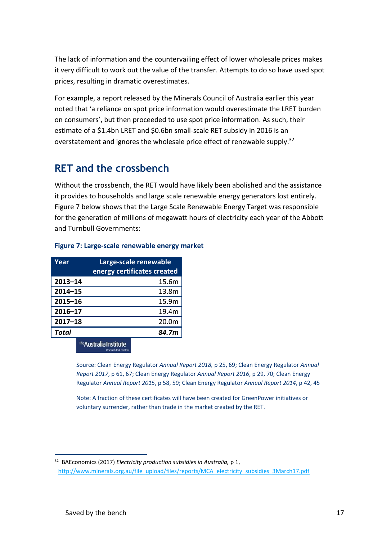The lack of information and the countervailing effect of lower wholesale prices makes it very difficult to work out the value of the transfer. Attempts to do so have used spot prices, resulting in dramatic overestimates.

For example, a report released by the Minerals Council of Australia earlier this year noted that 'a reliance on spot price information would overestimate the LRET burden on consumers', but then proceeded to use spot price information. As such, their estimate of a \$1.4bn LRET and \$0.6bn small-scale RET subsidy in 2016 is an overstatement and ignores the wholesale price effect of renewable supply.<sup>32</sup>

### **RET and the crossbench**

Without the crossbench, the RET would have likely been abolished and the assistance it provides to households and large scale renewable energy generators lost entirely. Figure 7 below shows that the Large Scale Renewable Energy Target was responsible for the generation of millions of megawatt hours of electricity each year of the Abbott and Turnbull Governments:

| Year         | Large-scale renewable       |
|--------------|-----------------------------|
|              | energy certificates created |
| $2013 - 14$  | 15.6m                       |
| $2014 - 15$  | 13.8m                       |
| $2015 - 16$  | 15.9m                       |
| $2016 - 17$  | 19.4m                       |
| $2017 - 18$  | 20.0m                       |
| <b>Total</b> | 84.7m                       |

### **Figure 7: Large-scale renewable energy market**

#### <sup>The</sup> Australia Institute Research that matt

Source: Clean Energy Regulator *Annual Report 2018,* p 25, 69; Clean Energy Regulator *Annual Report 2017*, p 61, 67; Clean Energy Regulator *Annual Report 2016*, p 29, 70; Clean Energy Regulator *Annual Report 2015*, p 58, 59; Clean Energy Regulator *Annual Report 2014*, p 42, 45

Note: A fraction of these certificates will have been created for GreenPower initiatives or voluntary surrender, rather than trade in the market created by the RET.

<sup>32</sup> BAEconomics (2017) *Electricity production subsidies in Australia,* p 1, [http://www.minerals.org.au/file\\_upload/files/reports/MCA\\_electricity\\_subsidies\\_3March17.pdf](http://www.minerals.org.au/file_upload/files/reports/MCA_electricity_subsidies_3March17.pdf)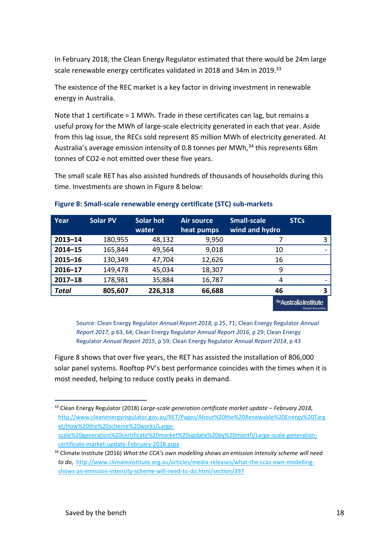In February 2018, the Clean Energy Regulator estimated that there would be 24m large scale renewable energy certificates validated in 2018 and 34m in 2019.<sup>33</sup>

The existence of the REC market is a key factor in driving investment in renewable energy in Australia.

Note that 1 certificate = 1 MWh. Trade in these certificates can lag, but remains a useful proxy for the MWh of large-scale electricity generated in each that year. Aside from this lag issue, the RECs sold represent 85 million MWh of electricity generated. At Australia's average emission intensity of 0.8 tonnes per MWh,<sup>34</sup> this represents 68m tonnes of CO2-e not emitted over these five years.

The small scale RET has also assisted hundreds of thousands of households during this time. Investments are shown in Figure 8 below:

| Year         | <b>Solar PV</b> | Solar hot<br>water | <b>Air source</b><br>heat pumps | <b>Small-scale</b><br>wind and hydro | <b>STCs</b>             |
|--------------|-----------------|--------------------|---------------------------------|--------------------------------------|-------------------------|
| $2013 - 14$  | 180,955         | 48,132             | 9,950                           |                                      |                         |
| $2014 - 15$  | 165,844         | 49,564             | 9,018                           | 10                                   |                         |
| $2015 - 16$  | 130,349         | 47,704             | 12,626                          | 16                                   |                         |
| $2016 - 17$  | 149,478         | 45,034             | 18,307                          | 9                                    |                         |
| $2017 - 18$  | 178,981         | 35,884             | 16,787                          | 4                                    |                         |
| <b>Total</b> | 805,607         | 226,318            | 66,688                          | 46                                   |                         |
|              |                 |                    |                                 |                                      | The Australia Institute |

### **Figure 8: Small-scale renewable energy certificate (STC) sub-markets**

Source: Clean Energy Regulator *Annual Report 2018,* p 25, 71; Clean Energy Regulator *Annual Report 2017*, p 63, 64; Clean Energy Regulator *Annual Report 2016*, p 29; Clean Energy Regulator *Annual Report 2015*, p 59; Clean Energy Regulator *Annual Report 2014*, p 43

Figure 8 shows that over five years, the RET has assisted the installation of 806,000 solar panel systems. Rooftop PV's best performance coincides with the times when it is most needed, helping to reduce costly peaks in demand.

1

Research that matters.

<sup>33</sup> Clean Energy Regulator (2018) Large-scale generation certificate market update - February 2018, [http://www.cleanenergyregulator.gov.au/RET/Pages/About%20the%20Renewable%20Energy%20Targ](http://www.cleanenergyregulator.gov.au/RET/Pages/About%20the%20Renewable%20Energy%20Target/How%20the%20scheme%20works/Large-scale%20generation%20certificate%20market%20update%20by%20month/Large-scale-generation-certificate-market-update-February-2018.aspx) [et/How%20the%20scheme%20works/Large](http://www.cleanenergyregulator.gov.au/RET/Pages/About%20the%20Renewable%20Energy%20Target/How%20the%20scheme%20works/Large-scale%20generation%20certificate%20market%20update%20by%20month/Large-scale-generation-certificate-market-update-February-2018.aspx)[scale%20generation%20certificate%20market%20update%20by%20month/Large-scale-generation](http://www.cleanenergyregulator.gov.au/RET/Pages/About%20the%20Renewable%20Energy%20Target/How%20the%20scheme%20works/Large-scale%20generation%20certificate%20market%20update%20by%20month/Large-scale-generation-certificate-market-update-February-2018.aspx)[certificate-market-update-February-2018.aspx](http://www.cleanenergyregulator.gov.au/RET/Pages/About%20the%20Renewable%20Energy%20Target/How%20the%20scheme%20works/Large-scale%20generation%20certificate%20market%20update%20by%20month/Large-scale-generation-certificate-market-update-February-2018.aspx)

<sup>34</sup> Climate Institute (2016) *What the CCA's own modelling shows an emission intensity scheme will need to do*, [http://www.climateinstitute.org.au/articles/media-releases/what-the-ccas-own-modelling](http://www.climateinstitute.org.au/articles/media-releases/what-the-ccas-own-modelling-shows-an-emission-intensity-scheme-will-need-to-do.html/section/397)[shows-an-emission-intensity-scheme-will-need-to-do.html/section/397](http://www.climateinstitute.org.au/articles/media-releases/what-the-ccas-own-modelling-shows-an-emission-intensity-scheme-will-need-to-do.html/section/397)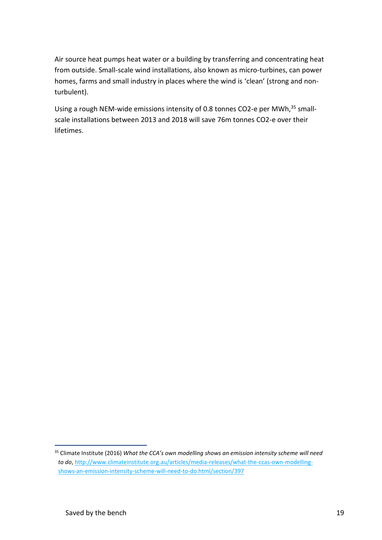Air source heat pumps heat water or a building by transferring and concentrating heat from outside. Small-scale wind installations, also known as micro-turbines, can power homes, farms and small industry in places where the wind is 'clean' (strong and nonturbulent).

Using a rough NEM-wide emissions intensity of 0.8 tonnes CO2-e per MWh, <sup>35</sup> smallscale installations between 2013 and 2018 will save 76m tonnes CO2-e over their lifetimes.

<sup>35</sup> Climate Institute (2016) *What the CCA's own modelling shows an emission intensity scheme will need to do*, [http://www.climateinstitute.org.au/articles/media-releases/what-the-ccas-own-modelling](http://www.climateinstitute.org.au/articles/media-releases/what-the-ccas-own-modelling-shows-an-emission-intensity-scheme-will-need-to-do.html/section/397)[shows-an-emission-intensity-scheme-will-need-to-do.html/section/397](http://www.climateinstitute.org.au/articles/media-releases/what-the-ccas-own-modelling-shows-an-emission-intensity-scheme-will-need-to-do.html/section/397)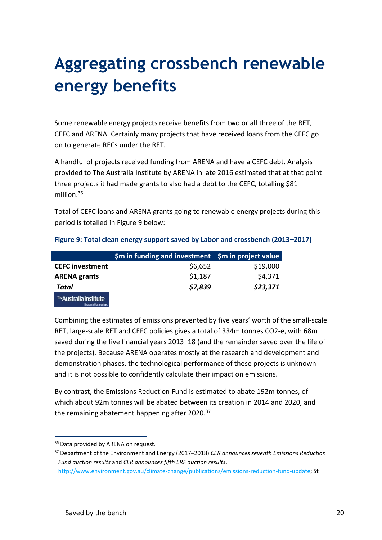# **Aggregating crossbench renewable energy benefits**

Some renewable energy projects receive benefits from two or all three of the RET, CEFC and ARENA. Certainly many projects that have received loans from the CEFC go on to generate RECs under the RET.

A handful of projects received funding from ARENA and have a CEFC debt. Analysis provided to The Australia Institute by ARENA in late 2016 estimated that at that point three projects it had made grants to also had a debt to the CEFC, totalling \$81 million.<sup>36</sup>

Total of CEFC loans and ARENA grants going to renewable energy projects during this period is totalled in Figure 9 below:

|                         | $$m$$ in funding and investment $$m$$ in project value |          |
|-------------------------|--------------------------------------------------------|----------|
| <b>CEFC</b> investment  | \$6,652                                                | \$19,000 |
| <b>ARENA grants</b>     | \$1,187                                                | \$4,371  |
| Total                   | \$7,839                                                | \$23,371 |
| The Australia Institute |                                                        |          |

### **Figure 9: Total clean energy support saved by Labor and crossbench (2013–2017)**

Combining the estimates of emissions prevented by five years' worth of the small-scale RET, large-scale RET and CEFC policies gives a total of 334m tonnes CO2-e, with 68m saved during the five financial years 2013–18 (and the remainder saved over the life of the projects). Because ARENA operates mostly at the research and development and demonstration phases, the technological performance of these projects is unknown and it is not possible to confidently calculate their impact on emissions.

By contrast, the Emissions Reduction Fund is estimated to abate 192m tonnes, of which about 92m tonnes will be abated between its creation in 2014 and 2020, and the remaining abatement happening after 2020.<sup>37</sup>

<sup>&</sup>lt;sup>36</sup> Data provided by ARENA on request.

<sup>37</sup> Department of the Environment and Energy (2017–2018) *CER announces seventh Emissions Reduction Fund auction results* and *CER announces fifth ERF auction results*,

[http://www.environment.gov.au/climate-change/publications/emissions-reduction-fund-update;](http://www.environment.gov.au/climate-change/publications/emissions-reduction-fund-update) St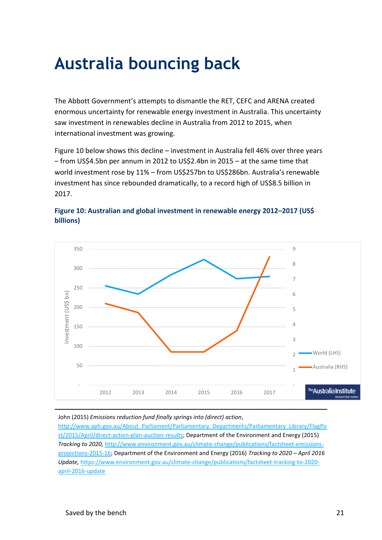## **Australia bouncing back**

The Abbott Government's attempts to dismantle the RET, CEFC and ARENA created enormous uncertainty for renewable energy investment in Australia. This uncertainty saw investment in renewables decline in Australia from 2012 to 2015, when international investment was growing.

Figure 10 below shows this decline – investment in Australia fell 46% over three years – from US\$4.5bn per annum in 2012 to US\$2.4bn in 2015 – at the same time that world investment rose by 11% – from US\$257bn to US\$286bn. Australia's renewable investment has since rebounded dramatically, to a record high of US\$8.5 billion in 2017.



### **Figure 10: Australian and global investment in renewable energy 2012–2017 (US\$ billions)**

John (2015) *Emissions reduction fund finally springs into (direct) action*,

[http://www.aph.gov.au/About\\_Parliament/Parliamentary\\_Departments/Parliamentary\\_Library/FlagPo](http://www.aph.gov.au/About_Parliament/Parliamentary_Departments/Parliamentary_Library/FlagPost/2015/April/direct-action-plan-auction-results) [st/2015/April/direct-action-plan-auction-results;](http://www.aph.gov.au/About_Parliament/Parliamentary_Departments/Parliamentary_Library/FlagPost/2015/April/direct-action-plan-auction-results) Department of the Environment and Energy (2015) *Tracking to 2020,* [http://www.environment.gov.au/climate-change/publications/factsheet-emissions](http://www.environment.gov.au/climate-change/publications/factsheet-emissions-projections-2015-16)[projections-2015-16;](http://www.environment.gov.au/climate-change/publications/factsheet-emissions-projections-2015-16) Department of the Environment and Energy (2016) *Tracking to 2020 – April 2016 Update,* [https://www.environment.gov.au/climate-change/publications/factsheet-tracking-to-2020](https://www.environment.gov.au/climate-change/publications/factsheet-tracking-to-2020-april-2016-update) [april-2016-update](https://www.environment.gov.au/climate-change/publications/factsheet-tracking-to-2020-april-2016-update)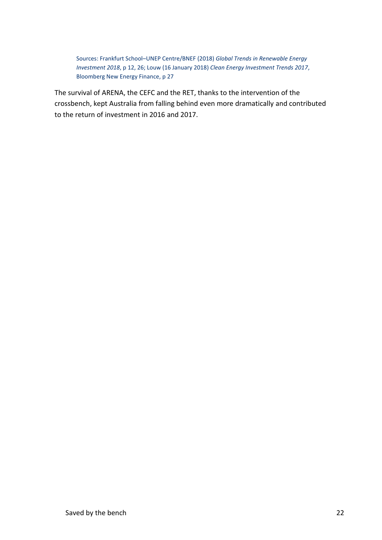Sources: Frankfurt School–UNEP Centre/BNEF (2018) *Global Trends in Renewable Energy Investment 2018*, p 12, 26; Louw (16 January 2018) *Clean Energy Investment Trends 2017*, Bloomberg New Energy Finance, p 27

The survival of ARENA, the CEFC and the RET, thanks to the intervention of the crossbench, kept Australia from falling behind even more dramatically and contributed to the return of investment in 2016 and 2017.